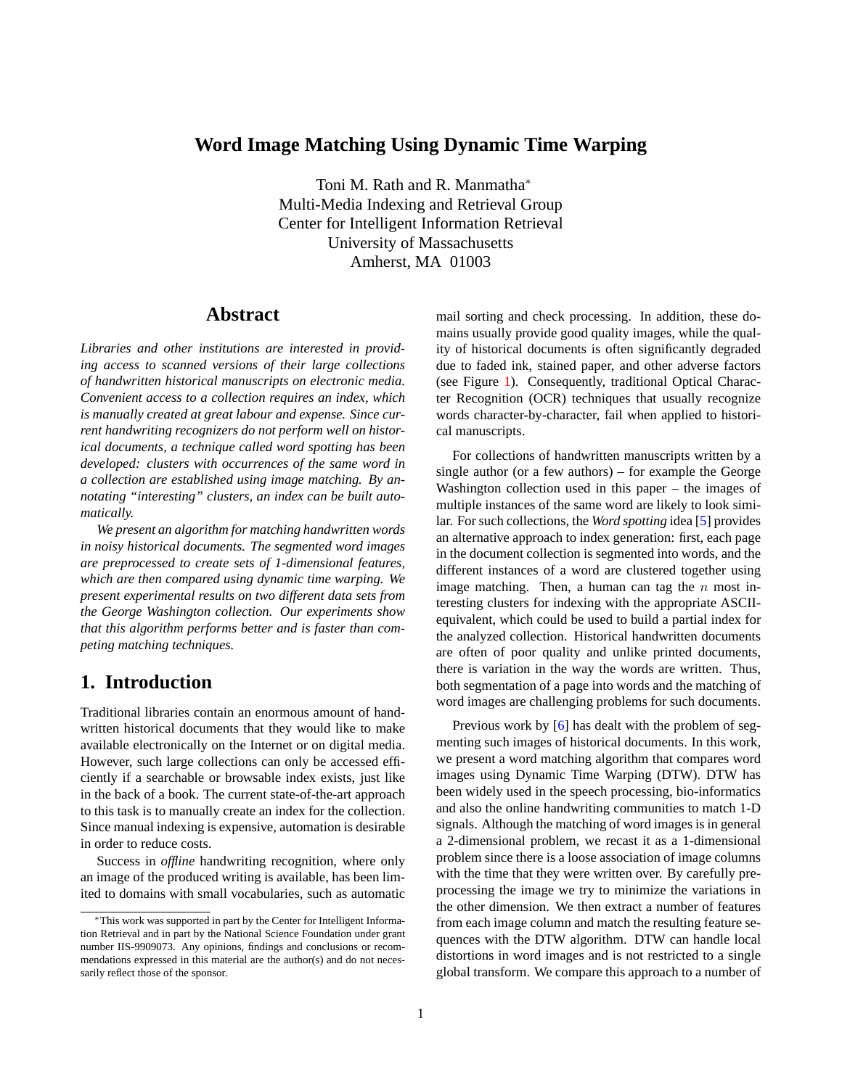## <span id="page-0-0"></span>**Word Image Matching Using Dynamic Time Warping**

Toni M. Rath and R. Manmatha<sup>∗</sup> Multi-Media Indexing and Retrieval Group Center for Intelligent Information Retrieval University of Massachusetts Amherst, MA 01003

## **Abstract**

*Libraries and other institutions are interested in providing access to scanned versions of their large collections of handwritten historical manuscripts on electronic media. Convenient access to a collection requires an index, which is manually created at great labour and expense. Since current handwriting recognizers do not perform well on historical documents, a technique called word spotting has been developed: clusters with occurrences of the same word in a collection are established using image matching. By annotating "interesting" clusters, an index can be built automatically.*

*We present an algorithm for matching handwritten words in noisy historical documents. The segmented word images are preprocessed to create sets of 1-dimensional features, which are then compared using dynamic time warping. We present experimental results on two different data sets from the George Washington collection. Our experiments show that this algorithm performs better and is faster than competing matching techniques.*

# **1. Introduction**

Traditional libraries contain an enormous amount of handwritten historical documents that they would like to make available electronically on the Internet or on digital media. However, such large collections can only be accessed efficiently if a searchable or browsable index exists, just like in the back of a book. The current state-of-the-art approach to this task is to manually create an index for the collection. Since manual indexing is expensive, automation is desirable in order to reduce costs.

Success in *offline* handwriting recognition, where only an image of the produced writing is available, has been limited to domains with small vocabularies, such as automatic

mail sorting and check processing. In addition, these domains usually provide good quality images, while the quality of historical documents is often significantly degraded due to faded ink, stained paper, and other adverse factors (see Figure [1\)](#page-2-0). Consequently, traditional Optical Character Recognition (OCR) techniques that usually recognize words character-by-character, fail when applied to historical manuscripts.

For collections of handwritten manuscripts written by a single author (or a few authors) – for example the George Washington collection used in this paper – the images of multiple instances of the same word are likely to look similar. For such collections, the *Word spotting* idea [\[5\]](#page-6-0) provides an alternative approach to index generation: first, each page in the document collection is segmented into words, and the different instances of a word are clustered together using image matching. Then, a human can tag the  $n$  most interesting clusters for indexing with the appropriate ASCIIequivalent, which could be used to build a partial index for the analyzed collection. Historical handwritten documents are often of poor quality and unlike printed documents, there is variation in the way the words are written. Thus, both segmentation of a page into words and the matching of word images are challenging problems for such documents.

Previous work by [\[6\]](#page-6-1) has dealt with the problem of segmenting such images of historical documents. In this work, we present a word matching algorithm that compares word images using Dynamic Time Warping (DTW). DTW has been widely used in the speech processing, bio-informatics and also the online handwriting communities to match 1-D signals. Although the matching of word images is in general a 2-dimensional problem, we recast it as a 1-dimensional problem since there is a loose association of image columns with the time that they were written over. By carefully preprocessing the image we try to minimize the variations in the other dimension. We then extract a number of features from each image column and match the resulting feature sequences with the DTW algorithm. DTW can handle local distortions in word images and is not restricted to a single global transform. We compare this approach to a number of

<sup>∗</sup>This work was supported in part by the Center for Intelligent Information Retrieval and in part by the National Science Foundation under grant number IIS-9909073. Any opinions, findings and conclusions or recommendations expressed in this material are the author(s) and do not necessarily reflect those of the sponsor.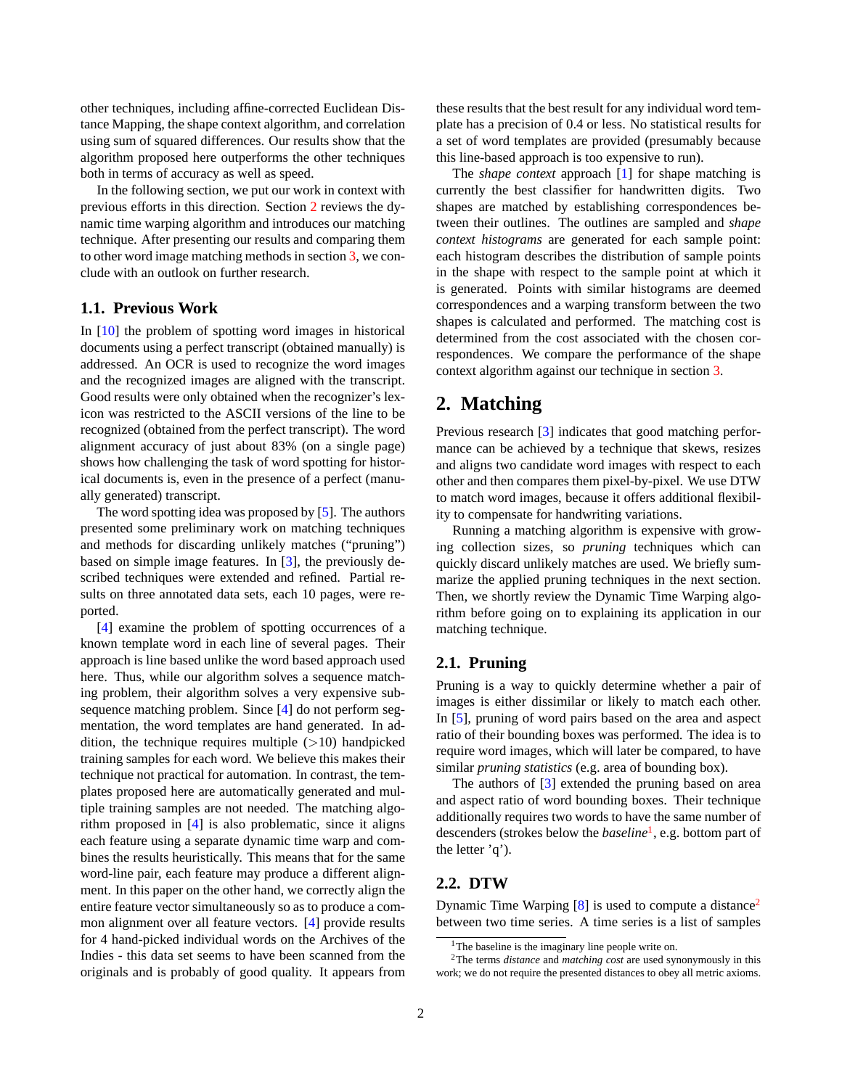other techniques, including affine-corrected Euclidean Distance Mapping, the shape context algorithm, and correlation using sum of squared differences. Our results show that the algorithm proposed here outperforms the other techniques both in terms of accuracy as well as speed.

In the following section, we put our work in context with previous efforts in this direction. Section [2](#page-1-0) reviews the dynamic time warping algorithm and introduces our matching technique. After presenting our results and comparing them to other word image matching methods in section [3,](#page-4-0) we conclude with an outlook on further research.

#### <span id="page-1-4"></span>**1.1. Previous Work**

In [\[10\]](#page-6-2) the problem of spotting word images in historical documents using a perfect transcript (obtained manually) is addressed. An OCR is used to recognize the word images and the recognized images are aligned with the transcript. Good results were only obtained when the recognizer's lexicon was restricted to the ASCII versions of the line to be recognized (obtained from the perfect transcript). The word alignment accuracy of just about 83% (on a single page) shows how challenging the task of word spotting for historical documents is, even in the presence of a perfect (manually generated) transcript.

The word spotting idea was proposed by [\[5\]](#page-6-0). The authors presented some preliminary work on matching techniques and methods for discarding unlikely matches ("pruning") based on simple image features. In [\[3\]](#page-6-3), the previously described techniques were extended and refined. Partial results on three annotated data sets, each 10 pages, were reported.

[\[4\]](#page-6-4) examine the problem of spotting occurrences of a known template word in each line of several pages. Their approach is line based unlike the word based approach used here. Thus, while our algorithm solves a sequence matching problem, their algorithm solves a very expensive subsequence matching problem. Since [\[4\]](#page-6-4) do not perform segmentation, the word templates are hand generated. In addition, the technique requires multiple  $(>10)$  handpicked training samples for each word. We believe this makes their technique not practical for automation. In contrast, the templates proposed here are automatically generated and multiple training samples are not needed. The matching algorithm proposed in [\[4\]](#page-6-4) is also problematic, since it aligns each feature using a separate dynamic time warp and combines the results heuristically. This means that for the same word-line pair, each feature may produce a different alignment. In this paper on the other hand, we correctly align the entire feature vector simultaneously so as to produce a common alignment over all feature vectors. [\[4\]](#page-6-4) provide results for 4 hand-picked individual words on the Archives of the Indies - this data set seems to have been scanned from the originals and is probably of good quality. It appears from these results that the best result for any individual word template has a precision of 0.4 or less. No statistical results for a set of word templates are provided (presumably because this line-based approach is too expensive to run).

The *shape context* approach [\[1\]](#page-6-5) for shape matching is currently the best classifier for handwritten digits. Two shapes are matched by establishing correspondences between their outlines. The outlines are sampled and *shape context histograms* are generated for each sample point: each histogram describes the distribution of sample points in the shape with respect to the sample point at which it is generated. Points with similar histograms are deemed correspondences and a warping transform between the two shapes is calculated and performed. The matching cost is determined from the cost associated with the chosen correspondences. We compare the performance of the shape context algorithm against our technique in section [3.](#page-4-0)

## <span id="page-1-0"></span>**2. Matching**

Previous research [\[3\]](#page-6-3) indicates that good matching performance can be achieved by a technique that skews, resizes and aligns two candidate word images with respect to each other and then compares them pixel-by-pixel. We use DTW to match word images, because it offers additional flexibility to compensate for handwriting variations.

Running a matching algorithm is expensive with growing collection sizes, so *pruning* techniques which can quickly discard unlikely matches are used. We briefly summarize the applied pruning techniques in the next section. Then, we shortly review the Dynamic Time Warping algorithm before going on to explaining its application in our matching technique.

## <span id="page-1-3"></span>**2.1. Pruning**

Pruning is a way to quickly determine whether a pair of images is either dissimilar or likely to match each other. In [\[5\]](#page-6-0), pruning of word pairs based on the area and aspect ratio of their bounding boxes was performed. The idea is to require word images, which will later be compared, to have similar *pruning statistics* (e.g. area of bounding box).

The authors of [\[3\]](#page-6-3) extended the pruning based on area and aspect ratio of word bounding boxes. Their technique additionally requires two words to have the same number of descenders (strokes below the *baseline*<sup>[1](#page-1-1)</sup>, e.g. bottom part of the letter 'q').

## **2.2. DTW**

Dynamic Time Warping  $[8]$  is used to compute a distance<sup>[2](#page-1-2)</sup> between two time series. A time series is a list of samples

<span id="page-1-2"></span><span id="page-1-1"></span><sup>&</sup>lt;sup>1</sup>The baseline is the imaginary line people write on.

<sup>2</sup>The terms *distance* and *matching cost* are used synonymously in this work; we do not require the presented distances to obey all metric axioms.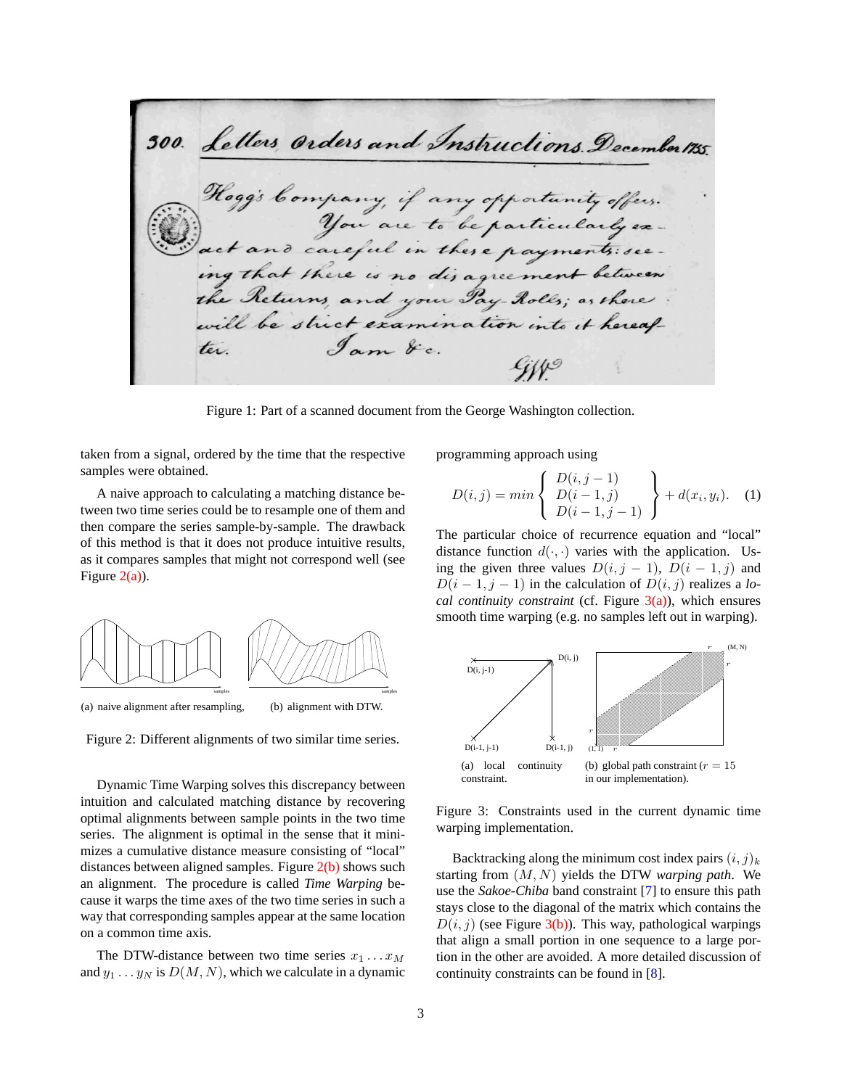Letters, orders and Instructions. December 1755. Hogg's Company, if any opportunity offers.<br>You are to be particularly ex-<br>ect and careful in these payments: seeing that there is no disagreement between<br>the Returns, and your Pay-Rolls; as there Jam &c.

<span id="page-2-0"></span>Figure 1: Part of a scanned document from the George Washington collection.

taken from a signal, ordered by the time that the respective samples were obtained.

A naive approach to calculating a matching distance between two time series could be to resample one of them and then compare the series sample-by-sample. The drawback of this method is that it does not produce intuitive results, as it compares samples that might not correspond well (see Figure  $2(a)$ ).

<span id="page-2-1"></span>



<span id="page-2-2"></span>(b) alignment with DTW.

Figure 2: Different alignments of two similar time series.

Dynamic Time Warping solves this discrepancy between intuition and calculated matching distance by recovering optimal alignments between sample points in the two time series. The alignment is optimal in the sense that it minimizes a cumulative distance measure consisting of "local" distances between aligned samples. Figure  $2(b)$  shows such an alignment. The procedure is called *Time Warping* because it warps the time axes of the two time series in such a way that corresponding samples appear at the same location on a common time axis.

The DTW-distance between two time series  $x_1 \dots x_M$ and  $y_1 \t ... y_N$  is  $D(M, N)$ , which we calculate in a dynamic programming approach using

$$
D(i,j) = min \left\{ \begin{array}{c} D(i,j-1) \\ D(i-1,j) \\ D(i-1,j-1) \end{array} \right\} + d(x_i, y_i). \quad (1)
$$

The particular choice of recurrence equation and "local" distance function  $d(\cdot, \cdot)$  varies with the application. Using the given three values  $D(i, j - 1)$ ,  $D(i - 1, j)$  and  $D(i-1, j-1)$  in the calculation of  $D(i, j)$  realizes a *local continuity constraint* (cf. Figure [3\(a\)\)](#page-2-3), which ensures smooth time warping (e.g. no samples left out in warping).

<span id="page-2-3"></span>

<span id="page-2-4"></span>Figure 3: Constraints used in the current dynamic time warping implementation.

Backtracking along the minimum cost index pairs  $(i, j)_k$ starting from (M, N) yields the DTW *warping path*. We use the *Sakoe-Chiba* band constraint [\[7\]](#page-6-7) to ensure this path stays close to the diagonal of the matrix which contains the  $D(i, j)$  (see Figure [3\(b\)\)](#page-2-4). This way, pathological warpings that align a small portion in one sequence to a large portion in the other are avoided. A more detailed discussion of continuity constraints can be found in [\[8\]](#page-6-6).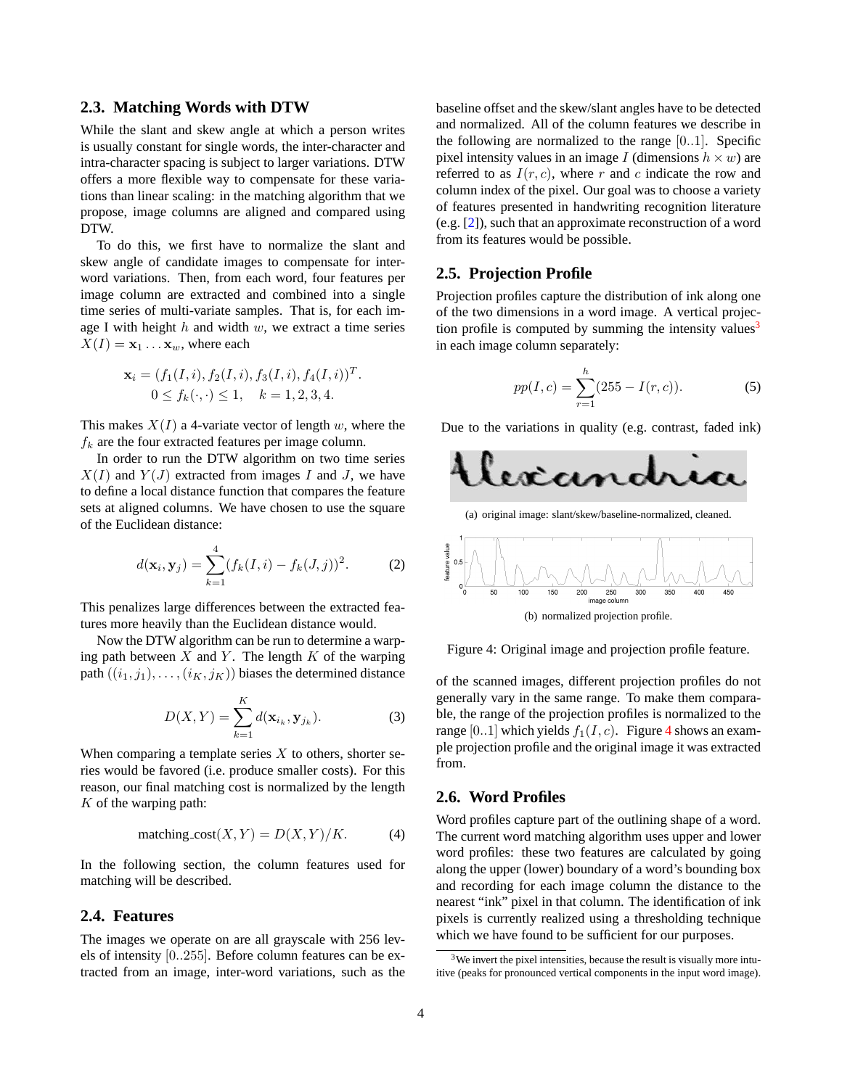### <span id="page-3-3"></span>**2.3. Matching Words with DTW**

While the slant and skew angle at which a person writes is usually constant for single words, the inter-character and intra-character spacing is subject to larger variations. DTW offers a more flexible way to compensate for these variations than linear scaling: in the matching algorithm that we propose, image columns are aligned and compared using DTW.

To do this, we first have to normalize the slant and skew angle of candidate images to compensate for interword variations. Then, from each word, four features per image column are extracted and combined into a single time series of multi-variate samples. That is, for each image I with height  $h$  and width  $w$ , we extract a time series  $X(I) = \mathbf{x}_1 \dots \mathbf{x}_w$ , where each

$$
\mathbf{x}_i = (f_1(I, i), f_2(I, i), f_3(I, i), f_4(I, i))^T.
$$
  

$$
0 \le f_k(\cdot, \cdot) \le 1, \quad k = 1, 2, 3, 4.
$$

This makes  $X(I)$  a 4-variate vector of length w, where the  $f_k$  are the four extracted features per image column.

In order to run the DTW algorithm on two time series  $X(I)$  and  $Y(J)$  extracted from images I and J, we have to define a local distance function that compares the feature sets at aligned columns. We have chosen to use the square of the Euclidean distance:

$$
d(\mathbf{x}_i, \mathbf{y}_j) = \sum_{k=1}^{4} (f_k(I, i) - f_k(J, j))^2.
$$
 (2)

This penalizes large differences between the extracted features more heavily than the Euclidean distance would.

Now the DTW algorithm can be run to determine a warping path between  $X$  and  $Y$ . The length  $K$  of the warping path  $((i_1, j_1), \ldots, (i_K, j_K))$  biases the determined distance

$$
D(X,Y) = \sum_{k=1}^{K} d(\mathbf{x}_{i_k}, \mathbf{y}_{j_k}).
$$
 (3)

When comparing a template series  $X$  to others, shorter series would be favored (i.e. produce smaller costs). For this reason, our final matching cost is normalized by the length  $K$  of the warping path:

$$
matching\_cost(X, Y) = D(X, Y) / K.
$$
 (4)

In the following section, the column features used for matching will be described.

## **2.4. Features**

The images we operate on are all grayscale with 256 levels of intensity [0..255]. Before column features can be extracted from an image, inter-word variations, such as the

baseline offset and the skew/slant angles have to be detected and normalized. All of the column features we describe in the following are normalized to the range  $[0..1]$ . Specific pixel intensity values in an image I (dimensions  $h \times w$ ) are referred to as  $I(r, c)$ , where r and c indicate the row and column index of the pixel. Our goal was to choose a variety of features presented in handwriting recognition literature (e.g. [\[2\]](#page-6-8)), such that an approximate reconstruction of a word from its features would be possible.

#### **2.5. Projection Profile**

Projection profiles capture the distribution of ink along one of the two dimensions in a word image. A vertical projection profile is computed by summing the intensity values $3$ in each image column separately:

$$
pp(I, c) = \sum_{r=1}^{h} (255 - I(r, c)).
$$
 (5)

Due to the variations in quality (e.g. contrast, faded ink)

<span id="page-3-2"></span>

(a) original image: slant/skew/baseline-normalized, cleaned.



<span id="page-3-1"></span>Figure 4: Original image and projection profile feature.

of the scanned images, different projection profiles do not generally vary in the same range. To make them comparable, the range of the projection profiles is normalized to the range [0..1] which yields  $f_1(I, c)$ . Figure [4](#page-3-1) shows an example projection profile and the original image it was extracted from.

## **2.6. Word Profiles**

Word profiles capture part of the outlining shape of a word. The current word matching algorithm uses upper and lower word profiles: these two features are calculated by going along the upper (lower) boundary of a word's bounding box and recording for each image column the distance to the nearest "ink" pixel in that column. The identification of ink pixels is currently realized using a thresholding technique which we have found to be sufficient for our purposes.

<span id="page-3-0"></span><sup>&</sup>lt;sup>3</sup>We invert the pixel intensities, because the result is visually more intuitive (peaks for pronounced vertical components in the input word image).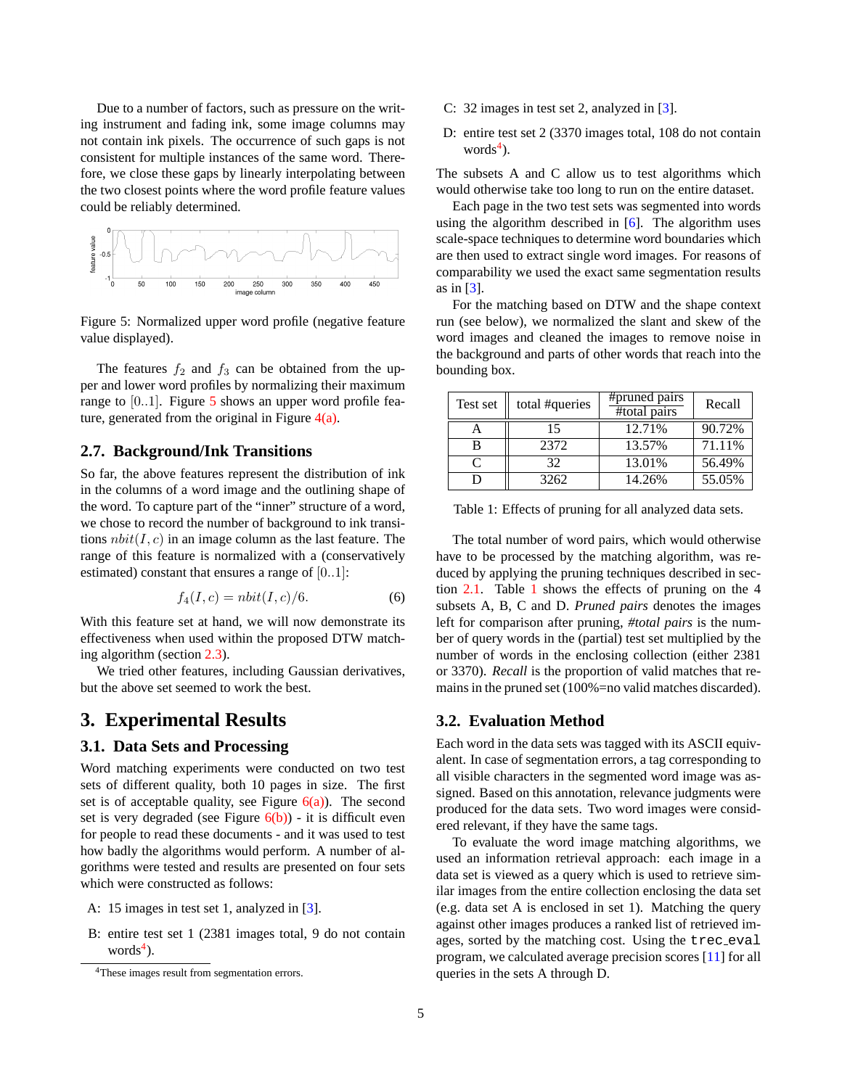Due to a number of factors, such as pressure on the writing instrument and fading ink, some image columns may not contain ink pixels. The occurrence of such gaps is not consistent for multiple instances of the same word. Therefore, we close these gaps by linearly interpolating between the two closest points where the word profile feature values could be reliably determined.



<span id="page-4-1"></span>Figure 5: Normalized upper word profile (negative feature value displayed).

The features  $f_2$  and  $f_3$  can be obtained from the upper and lower word profiles by normalizing their maximum range to  $[0..1]$ . Figure [5](#page-4-1) shows an upper word profile feature, generated from the original in Figure [4\(a\).](#page-3-2)

### **2.7. Background/Ink Transitions**

So far, the above features represent the distribution of ink in the columns of a word image and the outlining shape of the word. To capture part of the "inner" structure of a word, we chose to record the number of background to ink transitions  $nbit(I, c)$  in an image column as the last feature. The range of this feature is normalized with a (conservatively estimated) constant that ensures a range of  $[0..1]$ :

$$
f_4(I,c) = \nabit(I,c)/6.
$$
\n<sup>(6)</sup>

With this feature set at hand, we will now demonstrate its effectiveness when used within the proposed DTW matching algorithm (section [2.3\)](#page-3-3).

We tried other features, including Gaussian derivatives, but the above set seemed to work the best.

## <span id="page-4-0"></span>**3. Experimental Results**

## **3.1. Data Sets and Processing**

Word matching experiments were conducted on two test sets of different quality, both 10 pages in size. The first set is of acceptable quality, see Figure  $6(a)$ ). The second set is very degraded (see Figure  $6(b)$ ) - it is difficult even for people to read these documents - and it was used to test how badly the algorithms would perform. A number of algorithms were tested and results are presented on four sets which were constructed as follows:

- A: 15 images in test set 1, analyzed in [\[3\]](#page-6-3).
- B: entire test set 1 (2381 images total, 9 do not contain  $words<sup>4</sup>$  $words<sup>4</sup>$  $words<sup>4</sup>$ ).
- C: 32 images in test set 2, analyzed in [\[3\]](#page-6-3).
- D: entire test set 2 (3370 images total, 108 do not contain  $words<sup>4</sup>$  $words<sup>4</sup>$  $words<sup>4</sup>$ ).

The subsets A and C allow us to test algorithms which would otherwise take too long to run on the entire dataset.

Each page in the two test sets was segmented into words using the algorithm described in [\[6\]](#page-6-1). The algorithm uses scale-space techniques to determine word boundaries which are then used to extract single word images. For reasons of comparability we used the exact same segmentation results as in [\[3\]](#page-6-3).

For the matching based on DTW and the shape context run (see below), we normalized the slant and skew of the word images and cleaned the images to remove noise in the background and parts of other words that reach into the bounding box.

| Test set | total #queries | #pruned pairs<br>#total pairs | Recall |
|----------|----------------|-------------------------------|--------|
|          | 15             | 12.71%                        | 90.72% |
| B        | 2372           | 13.57%                        | 71.11% |
|          | 32             | 13.01%                        | 56.49% |
|          | 3262           | 14.26%                        | 55.05% |

<span id="page-4-3"></span>Table 1: Effects of pruning for all analyzed data sets.

The total number of word pairs, which would otherwise have to be processed by the matching algorithm, was reduced by applying the pruning techniques described in section [2.1.](#page-1-3) Table [1](#page-4-3) shows the effects of pruning on the 4 subsets A, B, C and D. *Pruned pairs* denotes the images left for comparison after pruning, *#total pairs* is the number of query words in the (partial) test set multiplied by the number of words in the enclosing collection (either 2381 or 3370). *Recall* is the proportion of valid matches that remains in the pruned set (100%=no valid matches discarded).

### **3.2. Evaluation Method**

Each word in the data sets was tagged with its ASCII equivalent. In case of segmentation errors, a tag corresponding to all visible characters in the segmented word image was assigned. Based on this annotation, relevance judgments were produced for the data sets. Two word images were considered relevant, if they have the same tags.

To evaluate the word image matching algorithms, we used an information retrieval approach: each image in a data set is viewed as a query which is used to retrieve similar images from the entire collection enclosing the data set (e.g. data set A is enclosed in set 1). Matching the query against other images produces a ranked list of retrieved images, sorted by the matching cost. Using the trec\_eval program, we calculated average precision scores [\[11\]](#page-6-9) for all queries in the sets A through D.

<span id="page-4-2"></span><sup>4</sup>These images result from segmentation errors.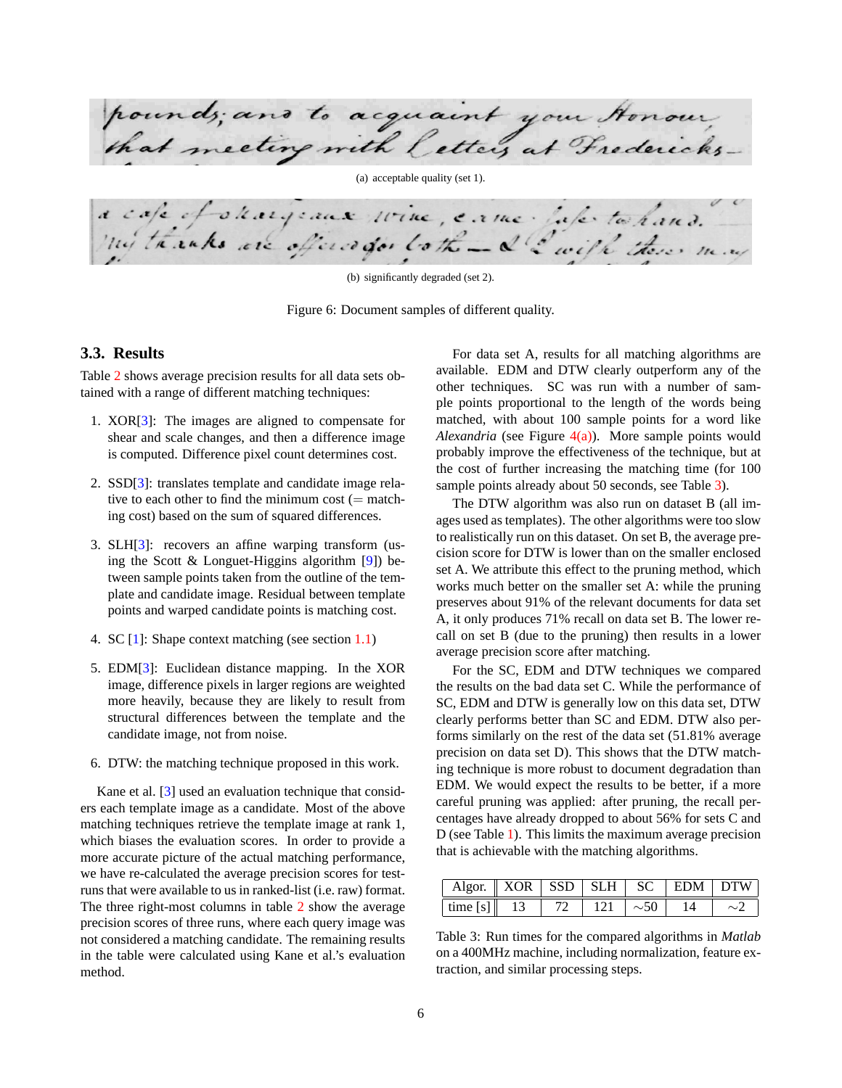<span id="page-5-0"></span>pounds; and to acquaint your Honour, that meeting with letters at Fredericks-(a) acceptable quality (set 1). okargeaux wine, came lafe to hand. hanks are offered for both - & I with there may

(b) significantly degraded (set 2).

Figure 6: Document samples of different quality.

## <span id="page-5-1"></span>**3.3. Results**

Table [2](#page-6-10) shows average precision results for all data sets obtained with a range of different matching techniques:

- 1. XOR[\[3\]](#page-6-3): The images are aligned to compensate for shear and scale changes, and then a difference image is computed. Difference pixel count determines cost.
- 2. SSD[\[3\]](#page-6-3): translates template and candidate image relative to each other to find the minimum cost  $(=$  matching cost) based on the sum of squared differences.
- 3. SLH[\[3\]](#page-6-3): recovers an affine warping transform (using the Scott  $&$  Longuet-Higgins algorithm [\[9\]](#page-6-11)) between sample points taken from the outline of the template and candidate image. Residual between template points and warped candidate points is matching cost.
- 4. SC [\[1\]](#page-6-5): Shape context matching (see section [1.1\)](#page-1-4)
- 5. EDM[\[3\]](#page-6-3): Euclidean distance mapping. In the XOR image, difference pixels in larger regions are weighted more heavily, because they are likely to result from structural differences between the template and the candidate image, not from noise.
- 6. DTW: the matching technique proposed in this work.

Kane et al. [\[3\]](#page-6-3) used an evaluation technique that considers each template image as a candidate. Most of the above matching techniques retrieve the template image at rank 1, which biases the evaluation scores. In order to provide a more accurate picture of the actual matching performance, we have re-calculated the average precision scores for testruns that were available to us in ranked-list (i.e. raw) format. The three right-most columns in table [2](#page-6-10) show the average precision scores of three runs, where each query image was not considered a matching candidate. The remaining results in the table were calculated using Kane et al.'s evaluation method.

For data set A, results for all matching algorithms are available. EDM and DTW clearly outperform any of the other techniques. SC was run with a number of sample points proportional to the length of the words being matched, with about 100 sample points for a word like *Alexandria* (see Figure [4\(a\)\)](#page-3-2). More sample points would probably improve the effectiveness of the technique, but at the cost of further increasing the matching time (for 100 sample points already about 50 seconds, see Table [3\)](#page-5-2).

The DTW algorithm was also run on dataset B (all images used as templates). The other algorithms were too slow to realistically run on this dataset. On set B, the average precision score for DTW is lower than on the smaller enclosed set A. We attribute this effect to the pruning method, which works much better on the smaller set A: while the pruning preserves about 91% of the relevant documents for data set A, it only produces 71% recall on data set B. The lower recall on set B (due to the pruning) then results in a lower average precision score after matching.

For the SC, EDM and DTW techniques we compared the results on the bad data set C. While the performance of SC, EDM and DTW is generally low on this data set, DTW clearly performs better than SC and EDM. DTW also performs similarly on the rest of the data set (51.81% average precision on data set D). This shows that the DTW matching technique is more robust to document degradation than EDM. We would expect the results to be better, if a more careful pruning was applied: after pruning, the recall percentages have already dropped to about 56% for sets C and D (see Table [1\)](#page-4-3). This limits the maximum average precision that is achievable with the matching algorithms.

| Algor. $\ \overline{XOR} \ \overline{SSD} \ \overline{SLH} \ \overline{SC} \ \overline{EDM} \ \overline{DTW}\ $ |  |              |  |
|-----------------------------------------------------------------------------------------------------------------|--|--------------|--|
| $\vert \text{ time } [s] \vert$ 13                                                                              |  | $121 \pm 50$ |  |

<span id="page-5-2"></span>Table 3: Run times for the compared algorithms in *Matlab* on a 400MHz machine, including normalization, feature extraction, and similar processing steps.